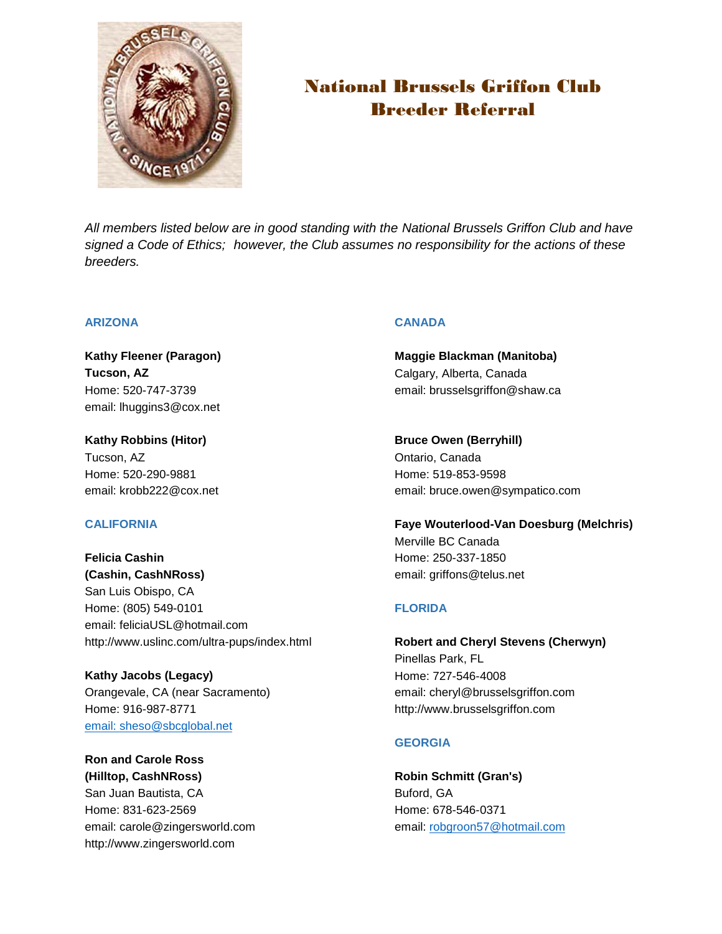

# National Brussels Griffon Club Breeder Referral

*All members listed below are in good standing with the National Brussels Griffon Club and have signed a Code of Ethics; however, the Club assumes no responsibility for the actions of these breeders.*

## **ARIZONA**

**Kathy Fleener (Paragon) Tucson, AZ** Home: 520-747-3739 email: lhuggins3@cox.net

**Kathy Robbins (Hitor)** Tucson, AZ Home: 520-290-9881 email: krobb222@cox.net

# **CALIFORNIA**

**Felicia Cashin (Cashin, CashNRoss)** San Luis Obispo, CA Home: (805) 549-0101 email: feliciaUSL@hotmail.com http://www.uslinc.com/ultra-pups/index.html

**Kathy Jacobs (Legacy)** Orangevale, CA (near Sacramento) Home: 916-987-8771 [email: sheso@sbcglobal.net](mailto:sheso@sbcglobal.net)

**Ron and Carole Ross (Hilltop, CashNRoss)** San Juan Bautista, CA Home: 831-623-2569 email: carole@zingersworld.com http://www.zingersworld.com

## **CANADA**

**Maggie Blackman (Manitoba)** Calgary, Alberta, Canada email: brusselsgriffon@shaw.ca

**Bruce Owen (Berryhill)** Ontario, Canada Home: 519-853-9598 email: bruce.owen@sympatico.com

**Faye Wouterlood-Van Doesburg (Melchris)** Merville BC Canada Home: 250-337-1850 email: griffons@telus.net

# **FLORIDA**

**Robert and Cheryl Stevens (Cherwyn)** Pinellas Park, FL Home: 727-546-4008 email: cheryl@brusselsgriffon.com http://www.brusselsgriffon.com

# **GEORGIA**

**Robin Schmitt (Gran's)** Buford, GA Home: 678-546-0371 email: [robgroon57@hotmail.com](mailto:robgroon57@hotmail.com)